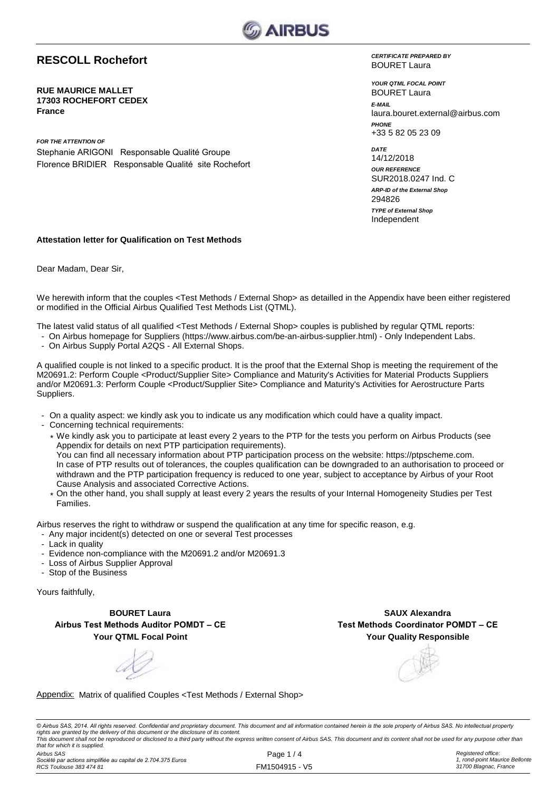

## **RESCOLL Rochefort**

**RUE MAURICE MALLET 17303 ROCHEFORT CEDEX France**

*FOR THE ATTENTION OF* Stephanie ARIGONI Responsable Qualité Groupe Florence BRIDIER Responsable Qualité site Rochefort *CERTIFICATE PREPARED BY* BOURET Laura

*YOUR QTML FOCAL POINT E-MAIL* laura.bouret.external@airbus.com *PHONE* +33 5 82 05 23 09 BOURET Laura

*ARP-ID of the External Shop DATE* 14/12/2018 *OUR REFERENCE* SUR2018.0247 Ind. C Independent 294826 *TYPE of External Shop*

#### **Attestation letter for Qualification on Test Methods**

Dear Madam, Dear Sir,

We herewith inform that the couples <Test Methods / External Shop> as detailled in the Appendix have been either registered or modified in the Official Airbus Qualified Test Methods List (QTML).

The latest valid status of all qualified <Test Methods / External Shop> couples is published by regular QTML reports:

- On Airbus homepage for Suppliers (https://www.airbus.com/be-an-airbus-supplier.html) Only Independent Labs.
- On Airbus Supply Portal A2QS All External Shops.

A qualified couple is not linked to a specific product. It is the proof that the External Shop is meeting the requirement of the M20691.2: Perform Couple <Product/Supplier Site> Compliance and Maturity's Activities for Material Products Suppliers and/or M20691.3: Perform Couple <Product/Supplier Site> Compliance and Maturity's Activities for Aerostructure Parts Suppliers.

- On a quality aspect: we kindly ask you to indicate us any modification which could have a quality impact.
- Concerning technical requirements:
	- \* We kindly ask you to participate at least every 2 years to the PTP for the tests you perform on Airbus Products (see Appendix for details on next PTP participation requirements). You can find all necessary information about PTP participation process on the website: https://ptpscheme.com. In case of PTP results out of tolerances, the couples qualification can be downgraded to an authorisation to proceed or withdrawn and the PTP participation frequency is reduced to one year, subject to acceptance by Airbus of your Root Cause Analysis and associated Corrective Actions.
	- \* On the other hand, you shall supply at least every 2 years the results of your Internal Homogeneity Studies per Test Families.

Airbus reserves the right to withdraw or suspend the qualification at any time for specific reason, e.g.

- Any major incident(s) detected on one or several Test processes
- Lack in quality
- Evidence non-compliance with the M20691.2 and/or M20691.3
- Loss of Airbus Supplier Approval
- Stop of the Business

Yours faithfully,

**BOURET Laura Airbus Test Methods Auditor POMDT – CE Your QTML Focal Point**

**Your Quality Responsible SAUX Alexandra Test Methods Coordinator POMDT – CE**

| Appendix: Matrix of qualified Couples <test external="" methods="" shop=""></test> |  |  |  |  |  |  |  |
|------------------------------------------------------------------------------------|--|--|--|--|--|--|--|
|------------------------------------------------------------------------------------|--|--|--|--|--|--|--|

© Airbus SAS, 2014. All rights reserved. Confidential and proprietary document. This document and all information contained herein is the sole property of Airbus SAS. No intellectual property rights are granted by the delivery of this document or the disclosure of its content.<br>This document shall not be reproduced or disclosed to a third party without the express written consent of Airbus SAS. This document and *that for which it is supplied.*

*Airbus SAS Société par actions simplifiée au capital de 2.704.375 Euros RCS Toulouse 383 474 81*

Page 1 / 4 FM1504915 - V5 *Registered office: 1, rond-point Maurice Bellonte 31700 Blagnac, France*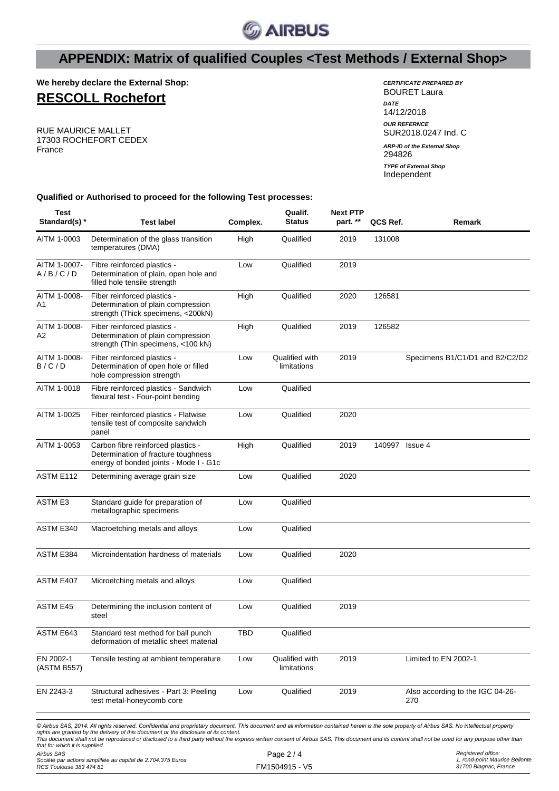

# **APPENDIX: Matrix of qualified Couples <Test Methods / External Shop>**

**We hereby declare the External Shop:**

# **RESCOLL Rochefort**

RUE MAURICE MALLET 17303 ROCHEFORT CEDEX France

## *CERTIFICATE PREPARED BY* BOURET Laura *DATE* 14/12/2018 *OUR REFERNCE* SUR2018.0247 Ind. C 294826 *ARP-ID of the External Shop* Independent *TYPE of External Shop*

**Qualified or Authorised to proceed for the following Test processes:**

| <b>Test</b><br>Standard(s) *   | <b>Test label</b>                                                                                                                                                                                                                                                                          | Complex. | Qualif.<br><b>Status</b>      | <b>Next PTP</b><br>part. ** | QCS Ref. | Remark                                  |
|--------------------------------|--------------------------------------------------------------------------------------------------------------------------------------------------------------------------------------------------------------------------------------------------------------------------------------------|----------|-------------------------------|-----------------------------|----------|-----------------------------------------|
| AITM 1-0003                    | Determination of the glass transition<br>temperatures (DMA)                                                                                                                                                                                                                                | High     | Qualified                     | 2019                        | 131008   |                                         |
| AITM 1-0007-<br>A/B/C/D        | Fibre reinforced plastics -<br>Determination of plain, open hole and<br>filled hole tensile strength                                                                                                                                                                                       | Low      | Qualified                     | 2019                        |          |                                         |
| AITM 1-0008-<br>A1             | Fiber reinforced plastics -<br>Determination of plain compression<br>strength (Thick specimens, <200kN)                                                                                                                                                                                    | High     | Qualified                     | 2020                        | 126581   |                                         |
| AITM 1-0008-<br>A2             | Fiber reinforced plastics -<br>Determination of plain compression<br>strength (Thin specimens, <100 kN)                                                                                                                                                                                    | High     | Qualified                     | 2019                        | 126582   |                                         |
| AITM 1-0008-<br>B/C/D          | Fiber reinforced plastics -<br>Determination of open hole or filled<br>hole compression strength                                                                                                                                                                                           | Low      | Qualified with<br>limitations | 2019                        |          | Specimens B1/C1/D1 and B2/C2/D2         |
| AITM 1-0018                    | Fibre reinforced plastics - Sandwich<br>flexural test - Four-point bending                                                                                                                                                                                                                 | Low      | Qualified                     |                             |          |                                         |
| AITM 1-0025                    | Fiber reinforced plastics - Flatwise<br>tensile test of composite sandwich<br>panel                                                                                                                                                                                                        | Low      | Qualified                     | 2020                        |          |                                         |
| AITM 1-0053                    | Carbon fibre reinforced plastics -<br>Determination of fracture toughness<br>energy of bonded joints - Mode I - G1c                                                                                                                                                                        | High     | Qualified                     | 2019                        |          | 140997 Issue 4                          |
| ASTM E112                      | Determining average grain size                                                                                                                                                                                                                                                             | Low      | Qualified                     | 2020                        |          |                                         |
| <b>ASTM E3</b>                 | Standard guide for preparation of<br>metallographic specimens                                                                                                                                                                                                                              | Low      | Qualified                     |                             |          |                                         |
| ASTM E340                      | Macroetching metals and alloys                                                                                                                                                                                                                                                             | Low      | Qualified                     |                             |          |                                         |
| ASTM E384                      | Microindentation hardness of materials                                                                                                                                                                                                                                                     | Low      | Qualified                     | 2020                        |          |                                         |
| ASTM E407                      | Microetching metals and alloys                                                                                                                                                                                                                                                             | Low      | Qualified                     |                             |          |                                         |
| <b>ASTM E45</b>                | Determining the inclusion content of<br>steel                                                                                                                                                                                                                                              | Low      | Qualified                     | 2019                        |          |                                         |
| ASTM E643                      | Standard test method for ball punch<br>deformation of metallic sheet material                                                                                                                                                                                                              | TBD      | Qualified                     |                             |          |                                         |
| EN 2002-1<br>(ASTM B557)       | Tensile testing at ambient temperature                                                                                                                                                                                                                                                     | Low      | Qualified with<br>limitations | 2019                        |          | Limited to EN 2002-1                    |
| EN 2243-3                      | Structural adhesives - Part 3: Peeling<br>test metal-honeycomb core                                                                                                                                                                                                                        | Low      | Qualified                     | 2019                        |          | Also according to the IGC 04-26-<br>270 |
|                                | © Airbus SAS, 2014. All rights reserved. Confidential and proprietary document. This document and all information contained herein is the sole property of Airbus SAS. No intellectual property                                                                                            |          |                               |                             |          |                                         |
| that for which it is supplied. | rights are granted by the delivery of this document or the disclosure of its content.<br>This document shall not be reproduced or disclosed to a third party without the express written consent of Airbus SAS. This document and its content shall not be used for any purpose other than |          |                               |                             |          |                                         |

*Airbus SAS*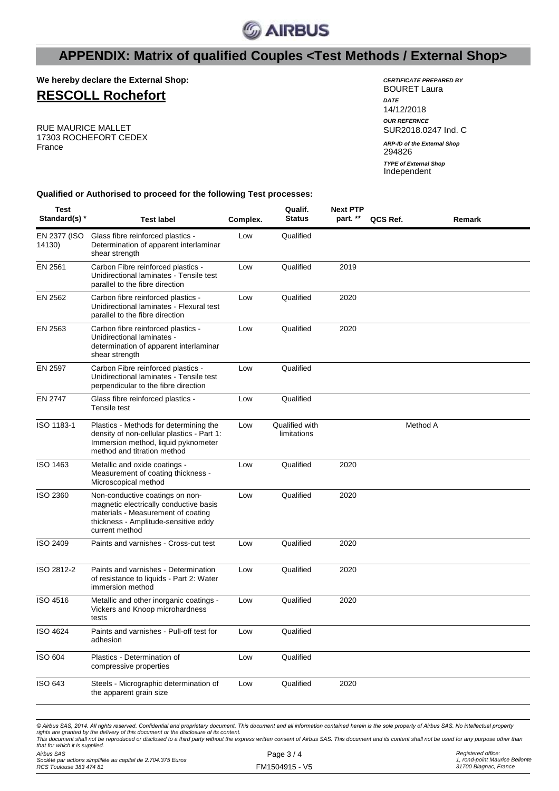

# **APPENDIX: Matrix of qualified Couples <Test Methods / External Shop>**

**We hereby declare the External Shop:**

## **RESCOLL Rochefort**

RUE MAURICE MALLET 17303 ROCHEFORT CEDEX France

#### *CERTIFICATE PREPARED BY* BOURET Laura *DATE* 14/12/2018

*OUR REFERNCE* SUR2018.0247 Ind. C 294826 *ARP-ID of the External Shop*

Independent *TYPE of External Shop*

**Qualified or Authorised to proceed for the following Test processes:**

| Test<br>Standard(s) *  | <b>Test label</b>                                                                                                                                                         | Complex. | Qualif.<br><b>Status</b>      | <b>Next PTP</b><br>part. ** | QCS Ref. | Remark |
|------------------------|---------------------------------------------------------------------------------------------------------------------------------------------------------------------------|----------|-------------------------------|-----------------------------|----------|--------|
| EN 2377 (ISO<br>14130) | Glass fibre reinforced plastics -<br>Determination of apparent interlaminar<br>shear strength                                                                             | Low      | Qualified                     |                             |          |        |
| EN 2561                | Carbon Fibre reinforced plastics -<br>Unidirectional laminates - Tensile test<br>parallel to the fibre direction                                                          | Low      | Qualified                     | 2019                        |          |        |
| EN 2562                | Carbon fibre reinforced plastics -<br>Unidirectional laminates - Flexural test<br>parallel to the fibre direction                                                         | Low      | Qualified                     | 2020                        |          |        |
| EN 2563                | Carbon fibre reinforced plastics -<br>Unidirectional laminates -<br>determination of apparent interlaminar<br>shear strength                                              | Low      | Qualified                     | 2020                        |          |        |
| EN 2597                | Carbon Fibre reinforced plastics -<br>Unidirectional laminates - Tensile test<br>perpendicular to the fibre direction                                                     | Low      | Qualified                     |                             |          |        |
| EN 2747                | Glass fibre reinforced plastics -<br>Tensile test                                                                                                                         | Low      | Qualified                     |                             |          |        |
| ISO 1183-1             | Plastics - Methods for determining the<br>density of non-cellular plastics - Part 1:<br>Immersion method, liquid pyknometer<br>method and titration method                | Low      | Qualified with<br>limitations |                             | Method A |        |
| ISO 1463               | Metallic and oxide coatings -<br>Measurement of coating thickness -<br>Microscopical method                                                                               | Low      | Qualified                     | 2020                        |          |        |
| ISO 2360               | Non-conductive coatings on non-<br>magnetic electrically conductive basis<br>materials - Measurement of coating<br>thickness - Amplitude-sensitive eddy<br>current method | Low      | Qualified                     | 2020                        |          |        |
| ISO 2409               | Paints and varnishes - Cross-cut test                                                                                                                                     | Low      | Qualified                     | 2020                        |          |        |
| ISO 2812-2             | Paints and varnishes - Determination<br>of resistance to liquids - Part 2: Water<br>immersion method                                                                      | Low      | Qualified                     | 2020                        |          |        |
| ISO 4516               | Metallic and other inorganic coatings -<br>Vickers and Knoop microhardness<br>tests                                                                                       | Low      | Qualified                     | 2020                        |          |        |
| ISO 4624               | Paints and varnishes - Pull-off test for<br>adhesion                                                                                                                      | Low      | Qualified                     |                             |          |        |
| ISO 604                | Plastics - Determination of<br>compressive properties                                                                                                                     | Low      | Qualified                     |                             |          |        |
| ISO 643                | Steels - Micrographic determination of<br>the apparent grain size                                                                                                         | Low      | Qualified                     | 2020                        |          |        |

© Airbus SAS, 2014. All rights reserved. Confidential and proprietary document. This document and all information contained herein is the sole property of Airbus SAS. No intellectual property rights are granted by the delivery of this document or the disclosure of its content.<br>This document shall not be reproduced or disclosed to a third party without the express written consent of Airbus SAS. This document and